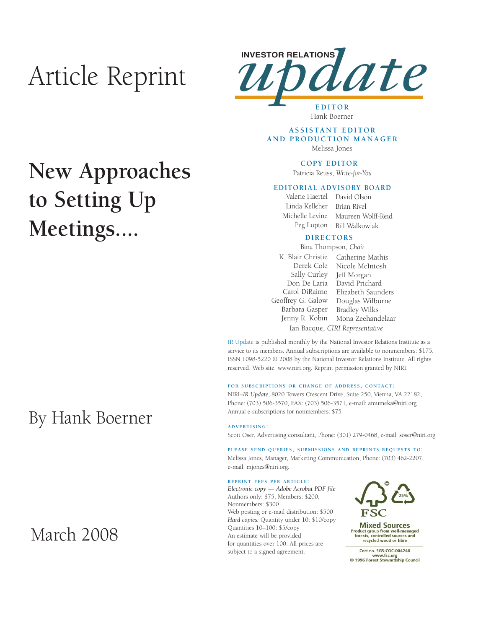# Article Reprint



Hank Boerner

### **ASSISTANT EDITOR AND PRODUCTION MANAGER** Melissa Jones

### **COPY EDITOR**

Patricia Reuss, *Write-for-You*

### **EDITORIAL ADVISORY BOARD**

Valerie Haertel David Olson Linda Kelleher Michelle Levine Peg Lupton Bill Walkowiak Brian Rivel Maureen Wolff-Reid

### **DIRECTORS**

K. Blair Christie Catherine Mathis Derek Cole Sally Curley Jeff Morgan Don De Laria David Prichard Carol DiRaimo Geoffrey G. Galow Barbara Gasper Jenny R. Kobin Nicole McIntosh Elizabeth Saunders Douglas Wilburne Bradley Wilks Mona Zeehandelaar Bina Thompson, *Chair* Ian Bacque, *CIRI Representative*

IR Update is published monthly by the National Investor Relations Institute as a service to its members. Annual subscriptions are available to nonmembers: \$175. ISSN 1098-5220 © 2008 by the National Investor Relations Institute. All rights reserved. Web site: www.niri.org. Reprint permission granted by NIRI.

#### **FOR SUBSCRIPTIONS OR CHANGE OF ADDRESS, CONTACT:**

NIRI–*IR Update*, 8020 Towers Crescent Drive, Suite 250, Vienna, VA 22182, Phone: (703) 506-3570, FAX: (703) 506-3571, e-mail: amumeka@niri.org Annual e-subscriptions for nonmembers: \$75

#### **ADVERTISING:**

Scott Oser, Advertising consultant, Phone: (301) 279-0468, e-mail: soser@niri.org

**PLEASE SEND QUERIES, SUBMISSIONS AND REPRINTS REQUESTS TO:** Melissa Jones, Manager, Marketing Communication, Phone: (703) 462-2207, e-mail: mjones@niri.org.

#### **REPRINT FEES PER ARTICLE:**

*Electronic copy* **—** *Adobe Acrobat PDF file*  Authors only: \$75, Members: \$200, Nonmembers: \$300 Web posting or e-mail distribution: \$500 *Hard copies:* Quantity under 10: \$10/copy Quantities 10–100: \$5/copy An estimate will be provided for quantities over 100. All prices are subject to a signed agreement.



**Mixed Sources** Product group from well-managed<br>forests, controlled sources and recycled wood or fibre

Cert no. SGS-COC-004246 www.fsc.org<br>www.fsc.org<br>© 1996 Forest Stewardship Council

## **New Approaches to Setting Up Meetings....**

## By Hank Boerner

### March 2008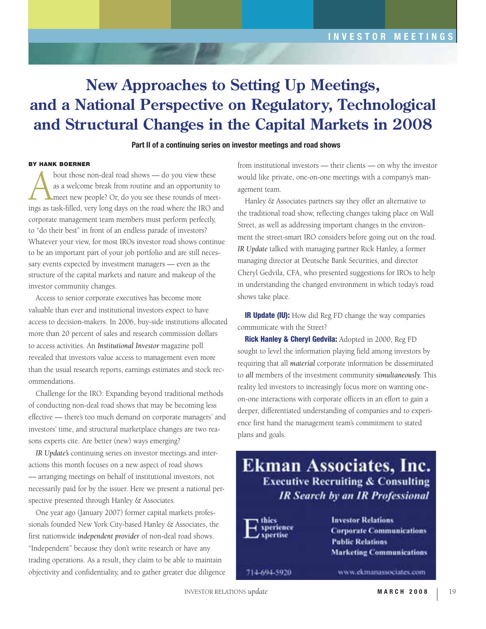### **New Approaches to Setting Up Meetings, and a National Perspective on Regulatory, Technological and Structural Changes in the Capital Markets in 2008**

### **Part II of a continuing series on investor meetings and road shows**

### **BY HANK BOERNER**

bout those non-deal road shows — do you view these<br>as a welcome break from routine and an opportunity to<br>meet new people? Or, do you see these rounds of meet<br>ings as task-filled very long days on the road where the IRO at as a welcome break from routine and an opportunity to meet new people? Or, do you see these rounds of meetings as task-filled, very long days on the road where the IRO and corporate management team members must perform perfectly, to "do their best" in front of an endless parade of investors? Whatever your view, for most IROs investor road shows continue to be an important part of your job portfolio and are still necessary events expected by investment managers — even as the structure of the capital markets and nature and makeup of the investor community changes.

Access to senior corporate executives has become more valuable than ever and institutional investors expect to have access to decision-makers. In 2006, buy-side institutions allocated more than 20 percent of sales and research commission dollars to access activities. An *Institutional Investor* magazine poll revealed that investors value access to management even more than the usual research reports, earnings estimates and stock recommendations.

Challenge for the IRO: Expanding beyond traditional methods of conducting non-deal road shows that may be becoming less effective — there's too much demand on corporate managers' and investors' time, and structural marketplace changes are two reasons experts cite. Are better (new) ways emerging?

*IR Update's* continuing series on investor meetings and interactions this month focuses on a new aspect of road shows — arranging meetings on behalf of institutional investors, not necessarily paid for by the issuer. Here we present a national perspective presented through Hanley & Associates.

One year ago (January 2007) former capital markets professionals founded New York City-based Hanley & Associates, the first nationwide *independent provider* of non-deal road shows. "Independent" because they don't write research or have any trading operations. As a result, they claim to be able to maintain objectivity and confidentiality, and to gather greater due diligence

from institutional investors — their clients — on why the investor would like private, one-on-one meetings with a company's management team.

Hanley & Associates partners say they offer an alternative to the traditional road show, reflecting changes taking place on Wall Street, as well as addressing important changes in the environment the street-smart IRO considers before going out on the road. *IR Update* talked with managing partner Rick Hanley, a former managing director at Deutsche Bank Securities, and director Cheryl Gedvila, CFA, who presented suggestions for IROs to help in understanding the changed environment in which today's road shows take place.

**IR Update (IU):** How did Reg FD change the way companies communicate with the Street?

**Rick Hanley & Cheryl Gedvila:** Adopted in 2000, Reg FD sought to level the information playing field among investors by requiring that all *material* corporate information be disseminated to *all* members of the investment community *simultaneously.* This reality led investors to increasingly focus more on wanting oneon-one interactions with corporate officers in an effort to gain a deeper, differentiated understanding of companies and to experience first hand the management team's commitment to stated plans and goals.

### **Ekman Associates, Inc. Executive Recruiting & Consulting IR Search by an IR Professional**



**Investor Relations Corporate Communications Public Relations Marketing Communications** 

714-694-5920

www.ekmanassociates.com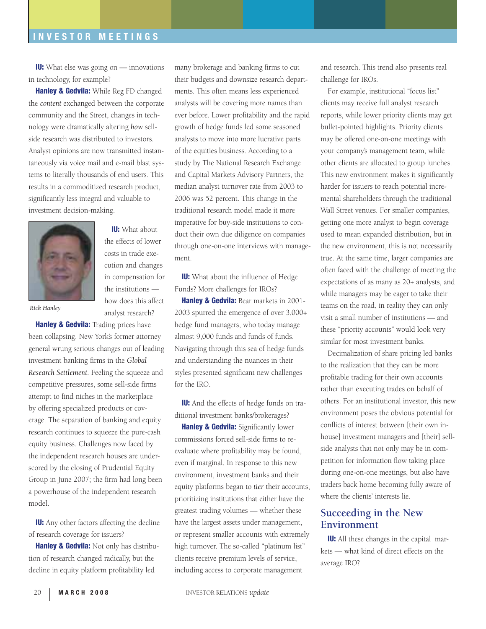### **INVESTOR MEETINGS**

**IU:** What else was going on — innovations in technology, for example?

**Hanley & Gedvila:** While Reg FD changed the *content* exchanged between the corporate community and the Street, changes in technology were dramatically altering *how* sellside research was distributed to investors. Analyst opinions are now transmitted instantaneously via voice mail and e-mail blast systems to literally thousands of end users. This results in a commoditized research product, significantly less integral and valuable to investment decision-making.



the effects of lower costs in trade execution and changes in compensation for the institutions how does this affect analyst research?

**IU:** What about

*Rick Hanley*

**Hanley & Gedvila:** Trading prices have been collapsing. New York's former attorney general wrung serious changes out of leading investment banking firms in the *Global Research Settlement.* Feeling the squeeze and competitive pressures, some sell-side firms attempt to find niches in the marketplace by offering specialized products or coverage. The separation of banking and equity research continues to squeeze the pure-cash equity business. Challenges now faced by the independent research houses are underscored by the closing of Prudential Equity Group in June 2007; the firm had long been a powerhouse of the independent research model.

**IU:** Any other factors affecting the decline of research coverage for issuers?

**Hanley & Gedvila:** Not only has distribution of research changed radically, but the decline in equity platform profitability led

many brokerage and banking firms to cut their budgets and downsize research departments. This often means less experienced analysts will be covering more names than ever before. Lower profitability and the rapid growth of hedge funds led some seasoned analysts to move into more lucrative parts of the equities business. According to a study by The National Research Exchange and Capital Markets Advisory Partners, the median analyst turnover rate from 2003 to 2006 was 52 percent. This change in the traditional research model made it more imperative for buy-side institutions to conduct their own due diligence on companies through one-on-one interviews with management.

**IU:** What about the influence of Hedge Funds? More challenges for IROs?

**Hanley & Gedvila:** Bear markets in 2001-2003 spurred the emergence of over 3,000+ hedge fund managers, who today manage almost 9,000 funds and funds of funds. Navigating through this sea of hedge funds and understanding the nuances in their styles presented significant new challenges for the IRO.

**IU:** And the effects of hedge funds on traditional investment banks/brokerages?

**Hanley & Gedvila:** Significantly lower commissions forced sell-side firms to reevaluate where profitability may be found, even if marginal. In response to this new environment, investment banks and their equity platforms began to *tier* their accounts, prioritizing institutions that either have the greatest trading volumes — whether these have the largest assets under management, or represent smaller accounts with extremely high turnover. The so-called "platinum list" clients receive premium levels of service, including access to corporate management

and research. This trend also presents real challenge for IROs.

For example, institutional "focus list" clients may receive full analyst research reports, while lower priority clients may get bullet-pointed highlights. Priority clients may be offered one-on-one meetings with your company's management team, while other clients are allocated to group lunches. This new environment makes it significantly harder for issuers to reach potential incremental shareholders through the traditional Wall Street venues. For smaller companies, getting one more analyst to begin coverage used to mean expanded distribution, but in the new environment, this is not necessarily true. At the same time, larger companies are often faced with the challenge of meeting the expectations of as many as 20+ analysts, and while managers may be eager to take their teams on the road, in reality they can only visit a small number of institutions — and these "priority accounts" would look very similar for most investment banks.

Decimalization of share pricing led banks to the realization that they can be more profitable trading for their own accounts rather than executing trades on behalf of others. For an institutional investor, this new environment poses the obvious potential for conflicts of interest between [their own inhouse] investment managers and [their] sellside analysts that not only may be in competition for information flow taking place during one-on-one meetings, but also have traders back home becoming fully aware of where the clients' interests lie.

### **Succeeding in the New Environment**

**IU:** All these changes in the capital markets — what kind of direct effects on the average IRO?